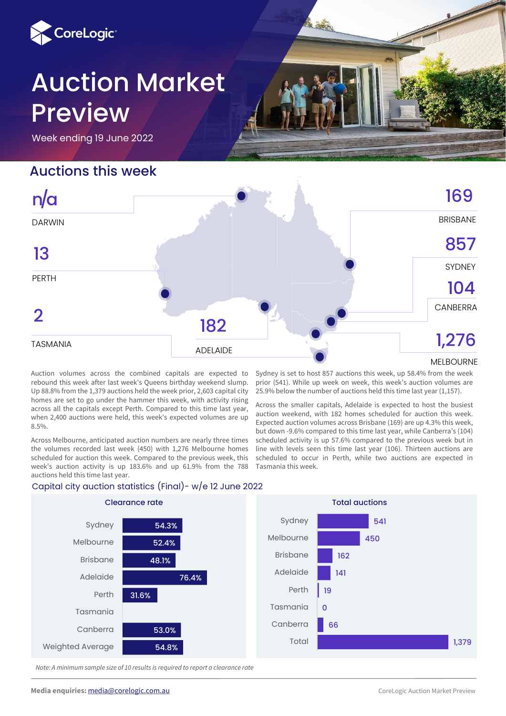

# Auction Market Preview

Week ending 19 June 2022

# Auctions this week

PERTH

13

n/a

TASMANIA



ADELAIDE

MELBOURNE

Auction volumes across the combined capitals are expected to rebound this week after last week's Queens birthday weekend slump. Up 88.8% from the 1,379 auctions held the week prior, 2,603 capital city homes are set to go under the hammer this week, with activity rising across all the capitals except Perth. Compared to this time last year, when 2,400 auctions were held, this week's expected volumes are up 8.5%.

Across Melbourne, anticipated auction numbers are nearly three times the volumes recorded last week (450) with 1,276 Melbourne homes scheduled for auction this week. Compared to the previous week, this week's auction activity is up 183.6% and up 61.9% from the 788 auctions held this time last year.

Sydney is set to host 857 auctions this week, up 58.4% from the week prior (541). While up week on week, this week's auction volumes are 25.9% below the number of auctions held this time last year (1,157).

Across the smaller capitals, Adelaide is expected to host the busiest auction weekend, with 182 homes scheduled for auction this week. Expected auction volumes across Brisbane (169) are up 4.3% this week, but down -9.6% compared to this time last year, while Canberra's (104) scheduled activity is up 57.6% compared to the previous week but in line with levels seen this time last year (106). Thirteen auctions are scheduled to occur in Perth, while two auctions are expected in Tasmania this week.



*Note: A minimum sample size of 10 results is required to report a clearance rate*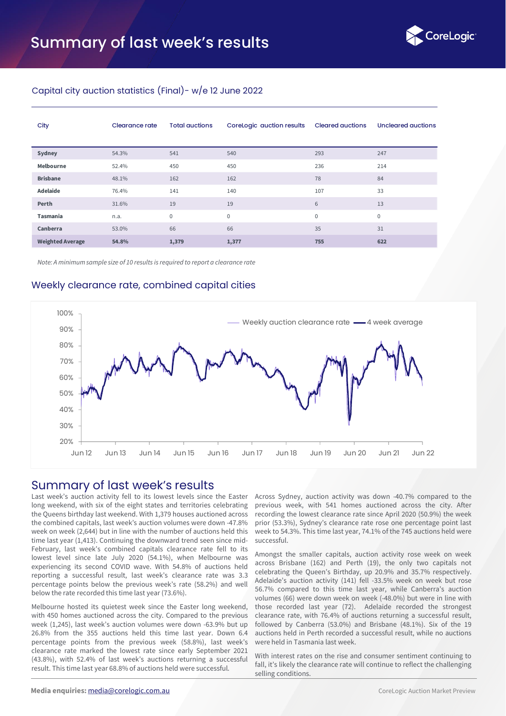

#### Capital city auction statistics (Final)- w/e 12 June 2022

| City                    | <b>Clearance rate</b> | <b>Total auctions</b> | CoreLogic auction results | <b>Cleared auctions</b> | Uncleared auctions |
|-------------------------|-----------------------|-----------------------|---------------------------|-------------------------|--------------------|
| Sydney                  | 54.3%                 | 541                   | 540                       | 293                     | 247                |
| Melbourne               | 52.4%                 | 450                   | 450                       | 236                     | 214                |
| <b>Brisbane</b>         | 48.1%                 | 162                   | 162                       | 78                      | 84                 |
| <b>Adelaide</b>         | 76.4%                 | 141                   | 140                       | 107                     | 33                 |
| Perth                   | 31.6%                 | 19                    | 19                        | 6                       | 13                 |
| <b>Tasmania</b>         | n.a.                  | $\mathbf{0}$          | $\mathbf{0}$              | $\mathbf{0}$            | $\mathbf{0}$       |
| Canberra                | 53.0%                 | 66                    | 66                        | 35                      | 31                 |
| <b>Weighted Average</b> | 54.8%                 | 1,379                 | 1,377                     | 755                     | 622                |

*Note: A minimum sample size of 10 results is required to report a clearance rate* 

#### Weekly clearance rate, combined capital cities



### Summary of last week's results

Last week's auction activity fell to its lowest levels since the Easter long weekend, with six of the eight states and territories celebrating the Queens birthday last weekend. With 1,379 houses auctioned across the combined capitals, last week's auction volumes were down -47.8% week on week (2,644) but in line with the number of auctions held this time last year (1,413). Continuing the downward trend seen since mid-February, last week's combined capitals clearance rate fell to its lowest level since late July 2020 (54.1%), when Melbourne was experiencing its second COVID wave. With 54.8% of auctions held reporting a successful result, last week's clearance rate was 3.3 percentage points below the previous week's rate (58.2%) and well below the rate recorded this time last year (73.6%).

Melbourne hosted its quietest week since the Easter long weekend, with 450 homes auctioned across the city. Compared to the previous week (1,245), last week's auction volumes were down -63.9% but up 26.8% from the 355 auctions held this time last year. Down 6.4 percentage points from the previous week (58.8%), last week's clearance rate marked the lowest rate since early September 2021 (43.8%), with 52.4% of last week's auctions returning a successful result. This time last year 68.8% of auctions held were successful.

Across Sydney, auction activity was down -40.7% compared to the previous week, with 541 homes auctioned across the city. After recording the lowest clearance rate since April 2020 (50.9%) the week prior (53.3%), Sydney's clearance rate rose one percentage point last week to 54.3%. This time last year, 74.1% of the 745 auctions held were successful.

Amongst the smaller capitals, auction activity rose week on week across Brisbane (162) and Perth (19), the only two capitals not celebrating the Queen's Birthday, up 20.9% and 35.7% respectively. Adelaide's auction activity (141) fell -33.5% week on week but rose 56.7% compared to this time last year, while Canberra's auction volumes (66) were down week on week (-48.0%) but were in line with those recorded last year (72). Adelaide recorded the strongest clearance rate, with 76.4% of auctions returning a successful result, followed by Canberra (53.0%) and Brisbane (48.1%). Six of the 19 auctions held in Perth recorded a successful result, while no auctions were held in Tasmania last week.

With interest rates on the rise and consumer sentiment continuing to fall, it's likely the clearance rate will continue to reflect the challenging selling conditions.